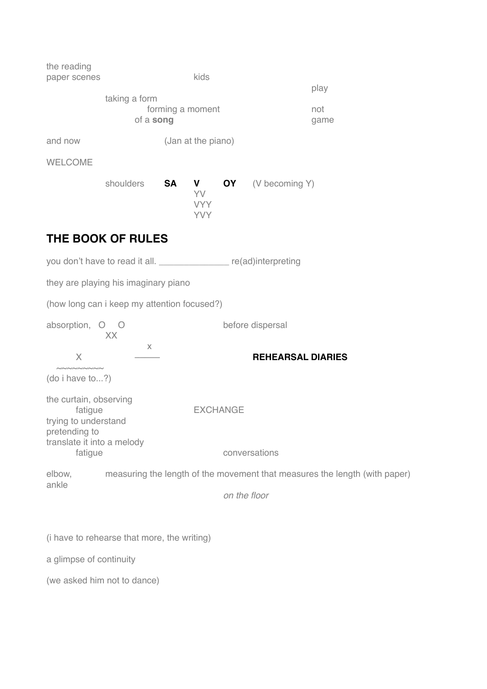| the reading<br>paper scenes                                                |                                                                            |                    | kids                                             |  |                          | play        |  |
|----------------------------------------------------------------------------|----------------------------------------------------------------------------|--------------------|--------------------------------------------------|--|--------------------------|-------------|--|
| taking a form<br>of a song                                                 |                                                                            |                    | forming a moment                                 |  |                          | not<br>game |  |
| and now                                                                    |                                                                            | (Jan at the piano) |                                                  |  |                          |             |  |
| <b>WELCOME</b>                                                             |                                                                            |                    |                                                  |  |                          |             |  |
|                                                                            | shoulders                                                                  | <b>SA</b>          | V <sub>a</sub><br>YV<br><b>VYY</b><br><b>YVY</b> |  | <b>OY</b> (V becoming Y) |             |  |
|                                                                            | THE BOOK OF RULES                                                          |                    |                                                  |  |                          |             |  |
|                                                                            | you don't have to read it all. _________________ re(ad)interpreting        |                    |                                                  |  |                          |             |  |
|                                                                            | they are playing his imaginary piano                                       |                    |                                                  |  |                          |             |  |
|                                                                            | (how long can i keep my attention focused?)                                |                    |                                                  |  |                          |             |  |
| absorption, O O                                                            | XX                                                                         |                    |                                                  |  | before dispersal         |             |  |
| $\times$                                                                   | $\chi$                                                                     |                    |                                                  |  | <b>REHEARSAL DIARIES</b> |             |  |
| $\sim$<br>(do i have to?)                                                  |                                                                            |                    |                                                  |  |                          |             |  |
| the curtain, observing<br>fatigue<br>trying to understand<br>pretending to |                                                                            |                    | <b>EXCHANGE</b>                                  |  |                          |             |  |
| translate it into a melody<br>fatigue                                      |                                                                            |                    |                                                  |  | conversations            |             |  |
| elbow,                                                                     | measuring the length of the movement that measures the length (with paper) |                    |                                                  |  |                          |             |  |
| ankle                                                                      |                                                                            |                    | on the floor                                     |  |                          |             |  |
|                                                                            |                                                                            |                    |                                                  |  |                          |             |  |
|                                                                            | (i have to rehearse that more, the writing)                                |                    |                                                  |  |                          |             |  |
| a glimpse of continuity                                                    |                                                                            |                    |                                                  |  |                          |             |  |

(we asked him not to dance)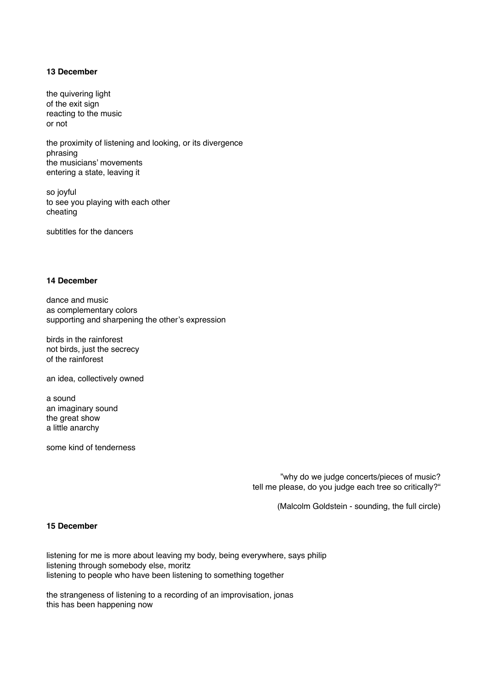# **13 December**

the quivering light of the exit sign reacting to the music or not

the proximity of listening and looking, or its divergence phrasing the musicians' movements entering a state, leaving it

so joyful to see you playing with each other cheating

subtitles for the dancers

#### **14 December**

dance and music as complementary colors supporting and sharpening the other's expression

birds in the rainforest not birds, just the secrecy of the rainforest

an idea, collectively owned

a sound an imaginary sound the great show a little anarchy

some kind of tenderness

"why do we judge concerts/pieces of music? tell me please, do you judge each tree so critically?"

(Malcolm Goldstein - sounding, the full circle)

#### **15 December**

listening for me is more about leaving my body, being everywhere, says philip listening through somebody else, moritz listening to people who have been listening to something together

the strangeness of listening to a recording of an improvisation, jonas this has been happening now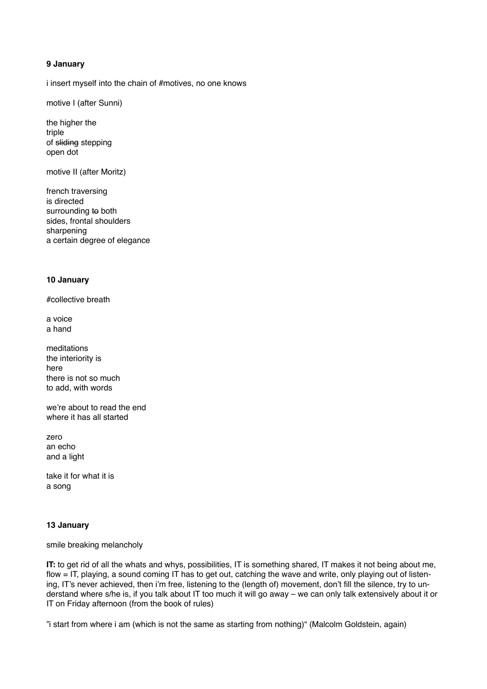# **9 January**

i insert myself into the chain of #motives, no one knows

motive I (after Sunni)

the higher the triple of sliding stepping open dot

motive II (after Moritz)

french traversing is directed surrounding to both sides, frontal shoulders sharpening a certain degree of elegance

#### **10 January**

#collective breath

a voice a hand

meditations the interiority is here there is not so much to add, with words

we're about to read the end where it has all started

zero an echo and a light

take it for what it is a song

# **13 January**

smile breaking melancholy

**IT:** to get rid of all the whats and whys, possibilities, IT is something shared, IT makes it not being about me, flow = IT, playing, a sound coming IT has to get out, catching the wave and write, only playing out of listening, IT's never achieved, then i'm free, listening to the (length of) movement, don't fill the silence, try to understand where s/he is, if you talk about IT too much it will go away – we can only talk extensively about it or IT on Friday afternoon (from the book of rules)

"i start from where i am (which is not the same as starting from nothing)" (Malcolm Goldstein, again)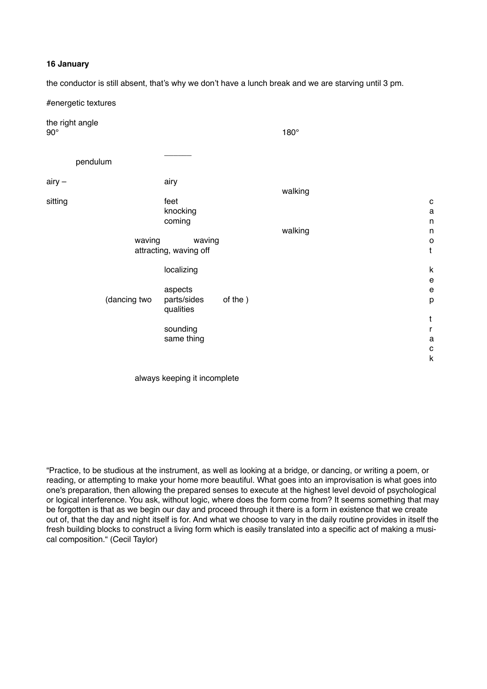#### **16 January**

the conductor is still absent, that's why we don't have a lunch break and we are starving until 3 pm.

| #energetic textures           |                        |         |         |                                            |
|-------------------------------|------------------------|---------|---------|--------------------------------------------|
| the right angle<br>$90^\circ$ |                        |         | 180°    |                                            |
| pendulum                      |                        |         |         |                                            |
| $airy -$                      | airy                   |         |         |                                            |
|                               |                        |         | walking |                                            |
| sitting                       | feet                   |         |         | $\mathbf{C}$                               |
|                               | knocking               |         |         | $\mathsf a$                                |
|                               | coming                 |         |         | n                                          |
|                               |                        |         | walking | $\sf n$                                    |
|                               | waving<br>waving       |         |         | $\mathsf{o}$<br>$\mathsf t$                |
|                               | attracting, waving off |         |         |                                            |
|                               | localizing             |         |         | $\sf k$                                    |
|                               |                        |         |         | $\mathsf{e}% _{0}\left( \mathsf{e}\right)$ |
|                               | aspects                |         |         | $\mathsf{e}% _{0}\left( \mathsf{e}\right)$ |
| (dancing two                  | parts/sides            | of the) |         | p                                          |
|                               | qualities              |         |         |                                            |
|                               |                        |         |         | $\mathfrak t$                              |
|                               | sounding               |         |         | $\mathsf{r}$                               |
|                               | same thing             |         |         | a                                          |
|                               |                        |         |         | $\mathbf{C}$<br>$\sf k$                    |
|                               |                        |         |         |                                            |

always keeping it incomplete

"Practice, to be studious at the instrument, as well as looking at a bridge, or dancing, or writing a poem, or reading, or attempting to make your home more beautiful. What goes into an improvisation is what goes into one's preparation, then allowing the prepared senses to execute at the highest level devoid of psychological or logical interference. You ask, without logic, where does the form come from? It seems something that may be forgotten is that as we begin our day and proceed through it there is a form in existence that we create out of, that the day and night itself is for. And what we choose to vary in the daily routine provides in itself the fresh building blocks to construct a living form which is easily translated into a specific act of making a musical composition." (Cecil Taylor)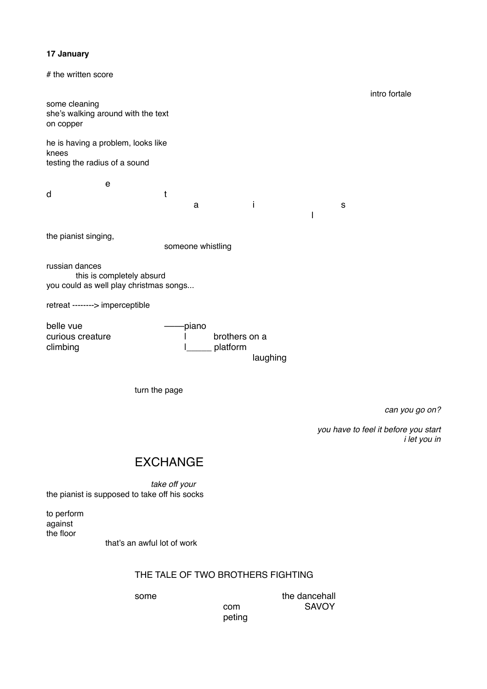# **17 January**

# the written score ! ! ! ! ! ! ! ! ! ! ! intro fortale some cleaning she's walking around with the text on copper he is having a problem, looks like knees testing the radius of a sound ! ! e d! ! ! ! t! ! ! ! !  $\begin{array}{cccccccccccccc} a & & & i & & & s & & \hline \end{array}$ !!!!!!!!! l the pianist singing, someone whistling russian dances this is completely absurd you could as well play christmas songs... retreat --------> imperceptible belle vue! ! ! ––––piano curious creature **in the curious** creature **in the curious** creature **in the curious** creature climbing  $\qquad \qquad \qquad \qquad$  |\_\_\_\_\_ platform laughing turn the page

can you go on?

!!!!!!!! *you have to feel it before you start*  $i$  let you in

# **EXCHANGE**

take off your the pianist is supposed to take off his socks

to perform against the floor

that's an awful lot of work

# THE TALE OF TWO BROTHERS FIGHTING

peting

some  $\qquad \qquad$  the dancehall  $\sim$  25 com  $\sim$  5AVOY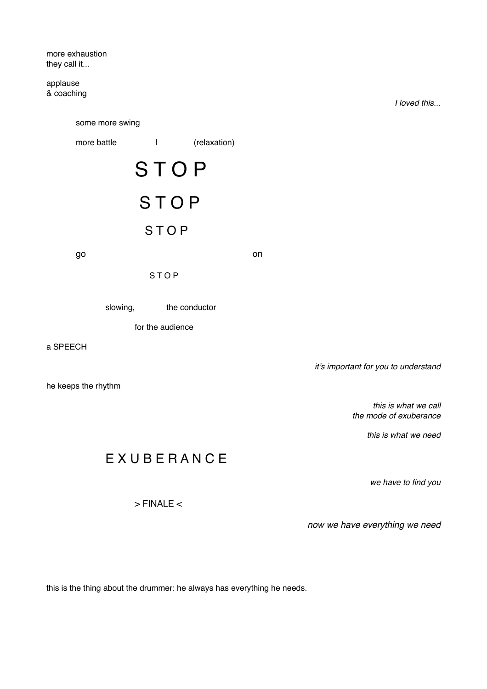more exhaustion they call it...

applause & coaching

!!!!!!!!!!! *I loved this...* some more swing more battle  $|$  | (relaxation) **STOP** S T O P **STOP** go ! ! ! ! ! ! on **STOP** slowing, the conductor for the audience a SPEECH it's important for you to understand he keeps the rhythm this is what we call the mode of exuberance !!!!!!!!!! *this is what we need*

# **EXUBERANCE**

 $>$  FINALE  $<$ 

we have to find you

!!!!!!!! *now we have everything we need*

this is the thing about the drummer: he always has everything he needs.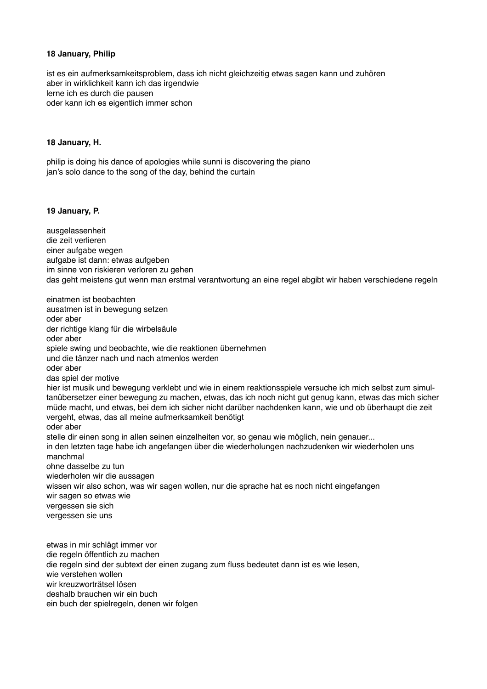# **18 January, Philip**

ist es ein aufmerksamkeitsproblem, dass ich nicht gleichzeitig etwas sagen kann und zuhören aber in wirklichkeit kann ich das irgendwie lerne ich es durch die pausen oder kann ich es eigentlich immer schon

#### **18 January, H.**

philip is doing his dance of apologies while sunni is discovering the piano jan's solo dance to the song of the day, behind the curtain

#### **19 January, P.**

ausgelassenheit die zeit verlieren einer aufgabe wegen aufgabe ist dann: etwas aufgeben im sinne von riskieren verloren zu gehen das geht meistens gut wenn man erstmal verantwortung an eine regel abgibt wir haben verschiedene regeln

einatmen ist beobachten ausatmen ist in bewegung setzen oder aber der richtige klang für die wirbelsäule oder aber spiele swing und beobachte, wie die reaktionen übernehmen und die tänzer nach und nach atmenlos werden oder aber das spiel der motive hier ist musik und bewegung verklebt und wie in einem reaktionsspiele versuche ich mich selbst zum simultanübersetzer einer bewegung zu machen, etwas, das ich noch nicht gut genug kann, etwas das mich sicher müde macht, und etwas, bei dem ich sicher nicht darüber nachdenken kann, wie und ob überhaupt die zeit vergeht, etwas, das all meine aufmerksamkeit benötigt oder aber stelle dir einen song in allen seinen einzelheiten vor, so genau wie möglich, nein genauer... in den letzten tage habe ich angefangen über die wiederholungen nachzudenken wir wiederholen uns manchmal ohne dasselbe zu tun wiederholen wir die aussagen wissen wir also schon, was wir sagen wollen, nur die sprache hat es noch nicht eingefangen wir sagen so etwas wie vergessen sie sich vergessen sie uns etwas in mir schlägt immer vor die regeln öffentlich zu machen die regeln sind der subtext der einen zugang zum fluss bedeutet dann ist es wie lesen, wie verstehen wollen

wir kreuzworträtsel lösen

deshalb brauchen wir ein buch

ein buch der spielregeln, denen wir folgen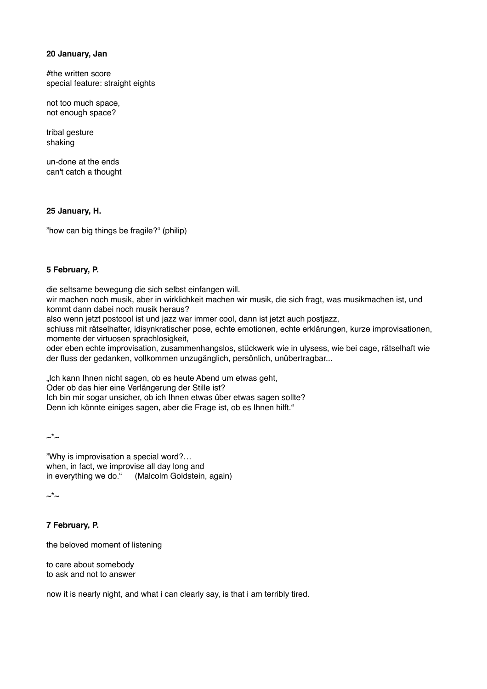# **20 January, Jan**

#the written score special feature: straight eights

not too much space, not enough space?

tribal gesture shaking

un-done at the ends can't catch a thought

# **25 January, H.**

"how can big things be fragile?" (philip)

# **5 February, P.**

die seltsame bewegung die sich selbst einfangen will.

wir machen noch musik, aber in wirklichkeit machen wir musik, die sich fragt, was musikmachen ist, und kommt dann dabei noch musik heraus?

also wenn jetzt postcool ist und jazz war immer cool, dann ist jetzt auch postjazz,

schluss mit rätselhafter, idisynkratischer pose, echte emotionen, echte erklärungen, kurze improvisationen, momente der virtuosen sprachlosigkeit,

oder eben echte improvisation, zusammenhangslos, stückwerk wie in ulysess, wie bei cage, rätselhaft wie der fluss der gedanken, vollkommen unzugänglich, persönlich, unübertragbar...

"Ich kann Ihnen nicht sagen, ob es heute Abend um etwas geht,

Oder ob das hier eine Verlängerung der Stille ist?

Ich bin mir sogar unsicher, ob ich Ihnen etwas über etwas sagen sollte?

Denn ich könnte einiges sagen, aber die Frage ist, ob es Ihnen hilft."

 $\sim^*\sim$ 

"Why is improvisation a special word?… when, in fact, we improvise all day long and in everything we do." (Malcolm Goldstein, again)

 $\sim^*\sim$ 

# **7 February, P.**

the beloved moment of listening

to care about somebody to ask and not to answer

now it is nearly night, and what i can clearly say, is that i am terribly tired.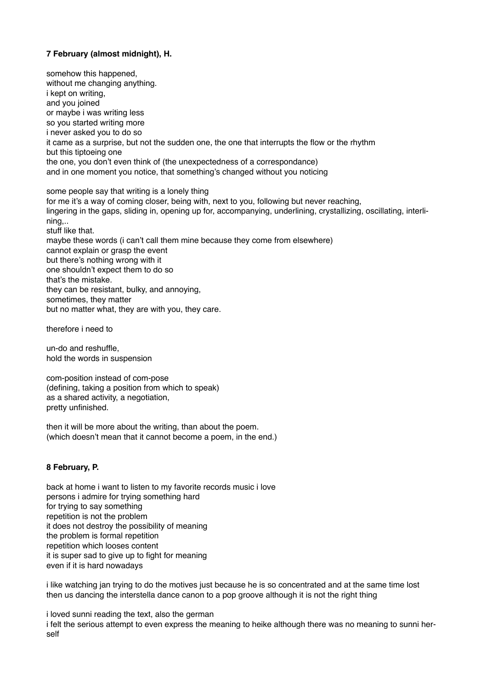# **7 February (almost midnight), H.**

somehow this happened, without me changing anything. i kept on writing, and you joined or maybe i was writing less so you started writing more i never asked you to do so it came as a surprise, but not the sudden one, the one that interrupts the flow or the rhythm but this tiptoeing one the one, you don't even think of (the unexpectedness of a correspondance) and in one moment you notice, that something's changed without you noticing

some people say that writing is a lonely thing for me it's a way of coming closer, being with, next to you, following but never reaching, lingering in the gaps, sliding in, opening up for, accompanying, underlining, crystallizing, oscillating, interlining,.. stuff like that. maybe these words (i can't call them mine because they come from elsewhere) cannot explain or grasp the event but there's nothing wrong with it one shouldn't expect them to do so that's the mistake. they can be resistant, bulky, and annoying, sometimes, they matter but no matter what, they are with you, they care.

therefore i need to

un-do and reshuffle, hold the words in suspension

com-position instead of com-pose (defining, taking a position from which to speak) as a shared activity, a negotiation, pretty unfinished.

then it will be more about the writing, than about the poem. (which doesn't mean that it cannot become a poem, in the end.)

# **8 February, P.**

back at home i want to listen to my favorite records music i love persons i admire for trying something hard for trying to say something repetition is not the problem it does not destroy the possibility of meaning the problem is formal repetition repetition which looses content it is super sad to give up to fight for meaning even if it is hard nowadays

i like watching jan trying to do the motives just because he is so concentrated and at the same time lost then us dancing the interstella dance canon to a pop groove although it is not the right thing

i loved sunni reading the text, also the german i felt the serious attempt to even express the meaning to heike although there was no meaning to sunni herself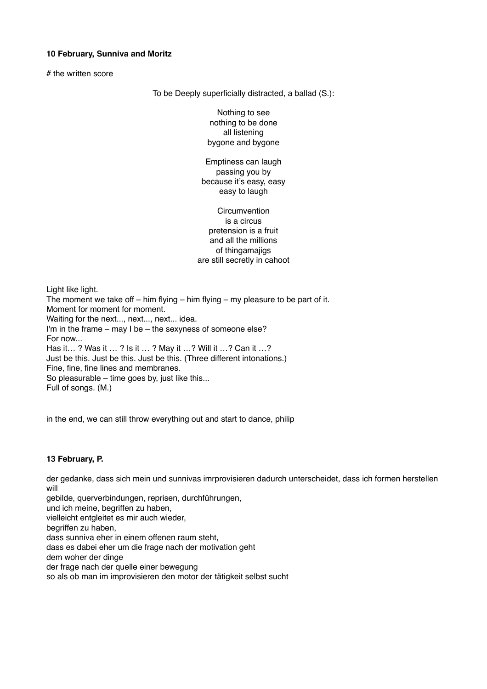# **10 February, Sunniva and Moritz**

# the written score

To be Deeply superficially distracted, a ballad (S.):

Nothing to see nothing to be done all listening bygone and bygone

Emptiness can laugh passing you by because it's easy, easy easy to laugh

**Circumvention** is a circus pretension is a fruit and all the millions of thingamajigs are still secretly in cahoot

Light like light. The moment we take off – him flying – him flying – my pleasure to be part of it. Moment for moment for moment. Waiting for the next..., next..., next... idea. I'm in the frame – may I be – the sexyness of someone else? For now... Has it… ? Was it … ? Is it … ? May it …? Will it …? Can it …? Just be this. Just be this. Just be this. (Three different intonations.) Fine, fine, fine lines and membranes. So pleasurable – time goes by, just like this... Full of songs. (M.)

in the end, we can still throw everything out and start to dance, philip

# **13 February, P.**

der gedanke, dass sich mein und sunnivas imrprovisieren dadurch unterscheidet, dass ich formen herstellen will

gebilde, querverbindungen, reprisen, durchführungen, und ich meine, begriffen zu haben, vielleicht entgleitet es mir auch wieder, begriffen zu haben, dass sunniva eher in einem offenen raum steht, dass es dabei eher um die frage nach der motivation geht dem woher der dinge der frage nach der quelle einer bewegung so als ob man im improvisieren den motor der tätigkeit selbst sucht